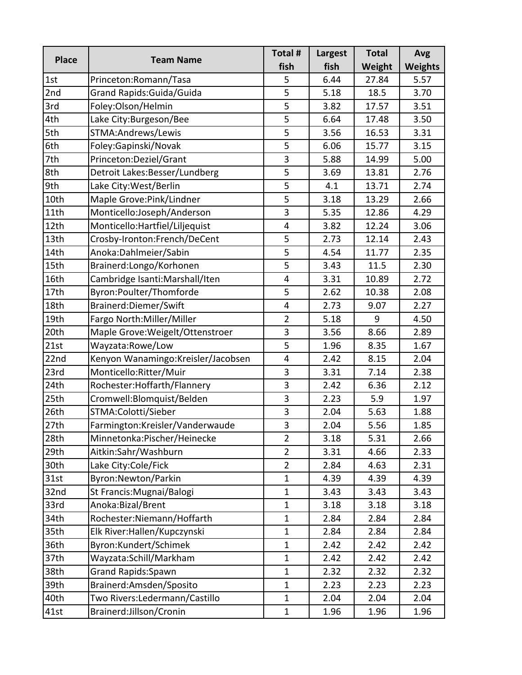| <b>Place</b> | <b>Team Name</b>                   | Total #        | <b>Largest</b> | <b>Total</b> | <b>Avg</b>     |
|--------------|------------------------------------|----------------|----------------|--------------|----------------|
|              |                                    | fish           | fish           | Weight       | <b>Weights</b> |
| 1st          | Princeton:Romann/Tasa              | 5              | 6.44           | 27.84        | 5.57           |
| 2nd          | Grand Rapids: Guida/Guida          | 5              | 5.18           | 18.5         | 3.70           |
| 3rd          | Foley:Olson/Helmin                 | 5              | 3.82           | 17.57        | 3.51           |
| 4th          | Lake City: Burgeson/Bee            | 5              | 6.64           | 17.48        | 3.50           |
| 5th          | STMA: Andrews/Lewis                | 5              | 3.56           | 16.53        | 3.31           |
| 6th          | Foley:Gapinski/Novak               | 5              | 6.06           | 15.77        | 3.15           |
| 7th          | Princeton:Deziel/Grant             | 3              | 5.88           | 14.99        | 5.00           |
| 8th          | Detroit Lakes: Besser/Lundberg     | $\overline{5}$ | 3.69           | 13.81        | 2.76           |
| 9th          | Lake City: West/Berlin             | 5              | 4.1            | 13.71        | 2.74           |
| 10th         | Maple Grove: Pink/Lindner          | 5              | 3.18           | 13.29        | 2.66           |
| 11th         | Monticello:Joseph/Anderson         | 3              | 5.35           | 12.86        | 4.29           |
| 12th         | Monticello: Hartfiel/Liljequist    | 4              | 3.82           | 12.24        | 3.06           |
| 13th         | Crosby-Ironton:French/DeCent       | 5              | 2.73           | 12.14        | 2.43           |
| 14th         | Anoka:Dahlmeier/Sabin              | 5              | 4.54           | 11.77        | 2.35           |
| 15th         | Brainerd:Longo/Korhonen            | 5              | 3.43           | 11.5         | 2.30           |
| 16th         | Cambridge Isanti: Marshall/Iten    | 4              | 3.31           | 10.89        | 2.72           |
| 17th         | Byron:Poulter/Thomforde            | 5              | 2.62           | 10.38        | 2.08           |
| 18th         | Brainerd: Diemer/Swift             | 4              | 2.73           | 9.07         | 2.27           |
| 19th         | Fargo North: Miller/Miller         | $\overline{2}$ | 5.18           | 9            | 4.50           |
| 20th         | Maple Grove: Weigelt/Ottenstroer   | 3              | 3.56           | 8.66         | 2.89           |
| 21st         | Wayzata:Rowe/Low                   | 5              | 1.96           | 8.35         | 1.67           |
| 22nd         | Kenyon Wanamingo:Kreisler/Jacobsen | 4              | 2.42           | 8.15         | 2.04           |
| 23rd         | Monticello: Ritter/Muir            | 3              | 3.31           | 7.14         | 2.38           |
| 24th         | Rochester:Hoffarth/Flannery        | 3              | 2.42           | 6.36         | 2.12           |
| 25th         | Cromwell:Blomquist/Belden          | 3              | 2.23           | 5.9          | 1.97           |
| 26th         | STMA:Colotti/Sieber                | 3              | 2.04           | 5.63         | 1.88           |
| 27th         | Farmington:Kreisler/Vanderwaude    | 3              | 2.04           | 5.56         | 1.85           |
| 28th         | Minnetonka: Pischer/Heinecke       | $\overline{2}$ | 3.18           | 5.31         | 2.66           |
| 29th         | Aitkin:Sahr/Washburn               | $\overline{2}$ | 3.31           | 4.66         | 2.33           |
| 30th         | Lake City:Cole/Fick                | $\overline{2}$ | 2.84           | 4.63         | 2.31           |
| 31st         | Byron: Newton/Parkin               | $\mathbf{1}$   | 4.39           | 4.39         | 4.39           |
| 32nd         | St Francis: Mugnai/Balogi          | $\mathbf 1$    | 3.43           | 3.43         | 3.43           |
| 33rd         | Anoka:Bizal/Brent                  | $\mathbf{1}$   | 3.18           | 3.18         | 3.18           |
| 34th         | Rochester:Niemann/Hoffarth         | $\mathbf 1$    | 2.84           | 2.84         | 2.84           |
| 35th         | Elk River: Hallen/Kupczynski       | $\mathbf 1$    | 2.84           | 2.84         | 2.84           |
| 36th         | Byron:Kundert/Schimek              | $\mathbf 1$    | 2.42           | 2.42         | 2.42           |
| 37th         | Wayzata:Schill/Markham             | $\mathbf{1}$   | 2.42           | 2.42         | 2.42           |
| 38th         | <b>Grand Rapids:Spawn</b>          | $\mathbf{1}$   | 2.32           | 2.32         | 2.32           |
| 39th         | Brainerd:Amsden/Sposito            | $\mathbf{1}$   | 2.23           | 2.23         | 2.23           |
| 40th         | Two Rivers: Ledermann/Castillo     | $\mathbf 1$    | 2.04           | 2.04         | 2.04           |
| 41st         | Brainerd:Jillson/Cronin            | $\mathbf{1}$   | 1.96           | 1.96         | 1.96           |